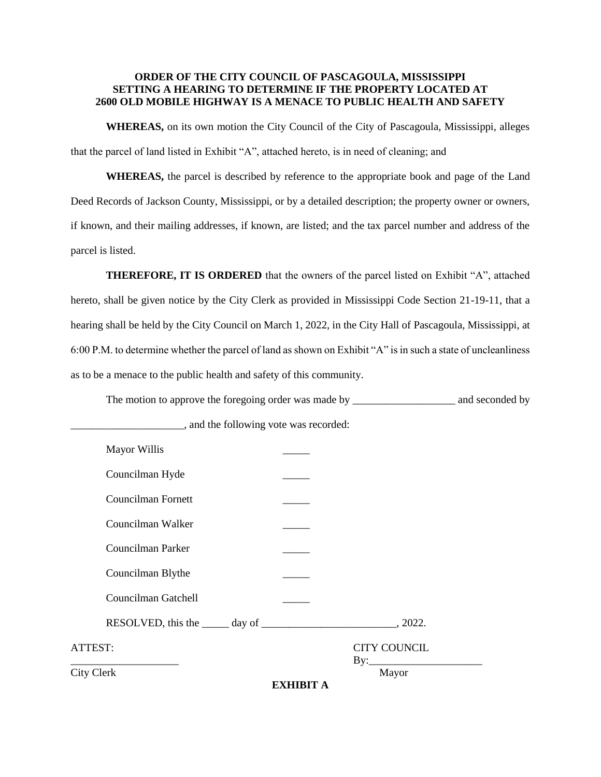## **ORDER OF THE CITY COUNCIL OF PASCAGOULA, MISSISSIPPI SETTING A HEARING TO DETERMINE IF THE PROPERTY LOCATED AT 2600 OLD MOBILE HIGHWAY IS A MENACE TO PUBLIC HEALTH AND SAFETY**

**WHEREAS,** on its own motion the City Council of the City of Pascagoula, Mississippi, alleges that the parcel of land listed in Exhibit "A", attached hereto, is in need of cleaning; and

**WHEREAS,** the parcel is described by reference to the appropriate book and page of the Land Deed Records of Jackson County, Mississippi, or by a detailed description; the property owner or owners, if known, and their mailing addresses, if known, are listed; and the tax parcel number and address of the parcel is listed.

**THEREFORE, IT IS ORDERED** that the owners of the parcel listed on Exhibit "A", attached hereto, shall be given notice by the City Clerk as provided in Mississippi Code Section 21-19-11, that a hearing shall be held by the City Council on March 1, 2022, in the City Hall of Pascagoula, Mississippi, at 6:00 P.M. to determine whether the parcel of land as shown on Exhibit "A" is in such a state of uncleanliness as to be a menace to the public health and safety of this community.

The motion to approve the foregoing order was made by \_\_\_\_\_\_\_\_\_\_\_\_\_\_\_\_\_\_\_\_\_\_\_\_ and seconded by  $\Box$ , and the following vote was recorded:

|                     | <b>EXHIBIT A</b> |                     |  |
|---------------------|------------------|---------------------|--|
| City Clerk          |                  | Mayor               |  |
| ATTEST:             |                  | <b>CITY COUNCIL</b> |  |
|                     |                  |                     |  |
| Councilman Gatchell |                  |                     |  |
| Councilman Blythe   |                  |                     |  |
| Councilman Parker   |                  |                     |  |
| Councilman Walker   |                  |                     |  |
| Councilman Fornett  |                  |                     |  |
| Councilman Hyde     |                  |                     |  |
| Mayor Willis        |                  |                     |  |
|                     |                  |                     |  |